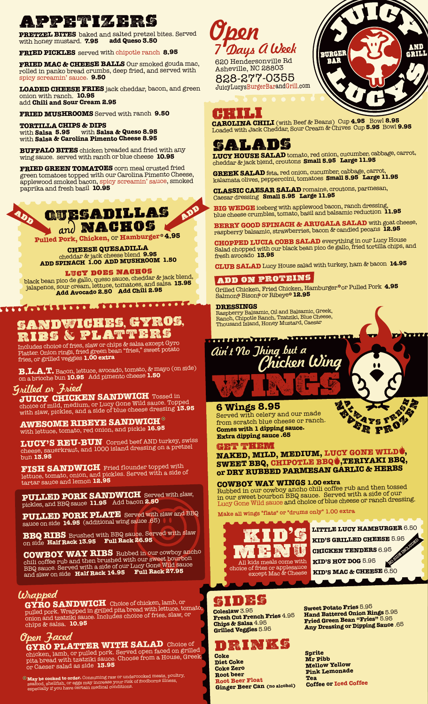**APPETITE baked and salted pretzel bites. Served Choose PRETZEL BITES** baked and salted pretzel bites. Served with honey mustard. **7.95** 

**FRIED PICKLES** served with chipotle ranch **8.95**

**FRIED MAC & CHEESE BALLS** Our smoked gouda mac, rolled in panko bread crumbs, deep fried, and served with spicy screamin' sauce. **9.50**

**LOADED CHEESE FRIES** jack cheddar, bacon, and green onion with ranch. **10.95**  add **Chili and Sour Cream 2.95**

**FRIED MUSHROOMS** Served with ranch **9.50**

**TORTILLA CHIPS & DIPS** with **Salsa 5.95** with **Salsa & Queso 8.95**  with **Salsa & Carolina Pimento Cheese 8.95**

**BUFFALO BITES** chicken breaded and fried with any wing sauce. served with ranch or blue cheese **10.95**

**FRIED GREEN TOMATOES** corn meal crusted fried green tomatoes topped with our Carolina Pimento Cheese, applewood smoked bacon, spicy screamin' sauce, smoked paprika and fresh basil **10.95**



**Pulled Pork, Chicken,** or **Hamburger 4.95**

**CHEESE QUESADILLA** cheddar & jack cheese blend **9.95 ADD SPINACH 1.00 ADD MUSHROOM 1.50**

**LUCY DOES NACHOS**<br>black bean pico de gallo, queso sauce, cheddar & jack blend, jalapenos, sour cream, lettuce, tomatoes, and salsa **13.95 Add Avocado 2.50 Add Chili 2.95** 

## **SANDWICHES**, **GYROS**, **RIBS** & **PLATTERS**

Includes choice of fries, slaw or chips & salsa except Gyro Platter. Onion rings, fried green bean "fries," sweet potato fries, or grilled veggies **1.00 extra** 

**B.L.A.T.** Bacon, lettuce, avocado, tomato, & mayo (on side) on a brioche bun **10.95** Add pimento cheese **1.50**

### Grilled or Fried

**JUICY CHICKEN SANDWICH** Tossed in choice of mild, medium, or Lucy Gone Wild sauce. Topped with slaw, pickles, and a side of blue cheese dressing **13.95**

**AWESOME RIBEYE SANDWICH** with lettuce, tomato, red onion, and pickle **16.95**

**LUCY'S REU-BUN** Corned beef AND turkey, swiss cheese, sauerkraut, and 1000 island dressing on a pretzel bun **13.95**

**FISH SANDWICH** Fried flounder topped with lettuce, tomato, onion, and pickles. Served with a side of tartar sauce and lemon **12.95**

**PULLED PORK SANDWICH** Served with slaw, pickles, and BBQ sauce **11.95** Add bacon **2.50**

**PULLED PORK PLATE** Served with slaw and BBQ sauce on side **14.95** (additional wing sauce .65)

**BBQ RIBS** Brushed with BBQ sauce. Served with slaw on side **Half Rack 13.95 Full Rack 26.95** 

**COWBOY WAY RIBS** Rubbed in our cowboy ancho chili coffee rub and then brushed with our sweet bourbon BBQ sauce. Served with a side of our Lucy Gone Wild sauce and slaw on side **Half Rack 14.95 Full Rack 27.95**

**GYRO SANDWICH** Choice of chicken, lamb, or pulled pork. Wrapped in grilled pita bread with lettuce, tomato, onion and tzatziki sauce. Includes choice of fries, slaw, or chips & salsa. **10.95** *Wrapped*<br>GYRO SANDWICH Choice of chicken, lamb, or

#### Open Faced

**GYRO PLATTER WITH SALAD** Choice of chicken, lamb, or pulled pork. Served open faced on grilled pita bread with tzatziki sauce. Choose from a House, Greek, or Caeser salad as side **13.95**

**May be cooked to order.** Consuming raw or undercooked meats, poultry, seafood, shellfish, or eggs may increase your risk of foodborne illness, especially if you have certain medical conditions.



620 Hendersonville Rd Asheville, NC 28803 828-277-0355 JuicyLucysBurgerBarandGrill.com



**CAROLINA CHILI** (with Beef & Beans) Cup **4.95** Bowl **8.95** Loaded with Jack Cheddar, Sour Cream & Chives Cup **5.95** Bowl **9.95**

## **SALADS**

**LUCY HOUSE SALAD** tomato, red onion, cucumber, cabbage, carrot, cheddar & jack blend, croutons **Small 5.95 Large 11.95**

**GREEK SALAD** feta, red onion, cucumber, cabbage, carrot, kalamata olives, pepperccini, tomatoes **Small 5.95 Large 11.95**

**CLASSIC CAESAR SALAD** romaine, croutons, parmesan, Caesar dressing **Small 5.95 Large 11.95**

**BIG WEDGE** iceberg with applewood bacon, ranch dressing, blue cheese crumbles, tomato, basil and balsamic reduction **11.95**

**BERRY GOOD SPINACH & ARUGALA SALAD** with goat cheese, raspberry balsamic, strawberries, bacon & candied pecans **12.95**

**CHOPPED LUCIA COBB SALAD** everything in our Lucy House Salad chopped with our black bean pico de gallo, fried tortilla chips, and fresh avocado **13.95**

**CLUB SALAD** Lucy House salad with turkey, ham & bacon **14.95**

#### **add ON PROTEINS**

Grilled Chicken, Fried Chicken, Hamburger or Pulled Pork **4.95** Salmon,<sup>®</sup> Bison,® or Ribeye® **12.95** 

#### **DRESSINGS**

Raspberry Balsamic, Oil and Balsamic, Greek, Ranch, Chipotle Ranch, Tzatziki, Blue Cheese, Thousand Island, Honey Mustard, Caesar



#### **6 Wings 8.95 n**

Served with celery and our made from scratch blue cheese or ranch. **Comes with 1 dipping sauce. Extra dipping sauce .65** 

**GET THEM**

**NAKED, MILD, MEDIUM, LUCY GONE WILD , SWEET BBQ, CHIPOTLE BBQ ,TERIYAKI BBQ, or DRY RUBBED PARMESAN GARLIC & HERBS**

**COWBOY WAY WINGS 1.00 extra** Rubbed in our cowboy ancho chili coffee rub and then tossed in our sweet bourbon BBQ sauce. Served with a side of our Lucy Gone Wild sauce and choice of blue cheese or ranch dressing.

**Make all wings "flats" or "drums only" 1.00 extra**



**LITTLE LUCY HAMBURGER** 6.50 **KID'S GRILLED CHEESE** 5.95 **CHICKEN TENDERS** 6.95 **KID'S HOT DOG** 5.95 **KID'S MAC & CHEESE** 6.50 **NO SIDE** 

**A**<br>*A*<br>*A*<br>*A*<br>*A***</del>** 

**<sup>e</sup>ve<sup>r</sup> <sup>f</sup>roz<sup>e</sup>**

**FRE** 

## **sides**

**Coleslaw** 3.95 **Fresh Cut French Fries** 4.95 **Chips & Salsa** 4.95 **Grilled Veggies** 5.95

# **DRINKS**

**Coke Diet Coke Coke Zero Root beer Root Beer Float Ginger Beer Can (no alcohol)** **Sweet Potato Fries** 5.95 **Hand Battered Onion Rings** 5.95 **Fried Green Bean "Fries"** 5.95 **Any Dressing or Dipping Sauce** .65

**Sprite Mr Pibb Mellow Yellow Pink Lemonade Tea Coffee or Iced Coffee**